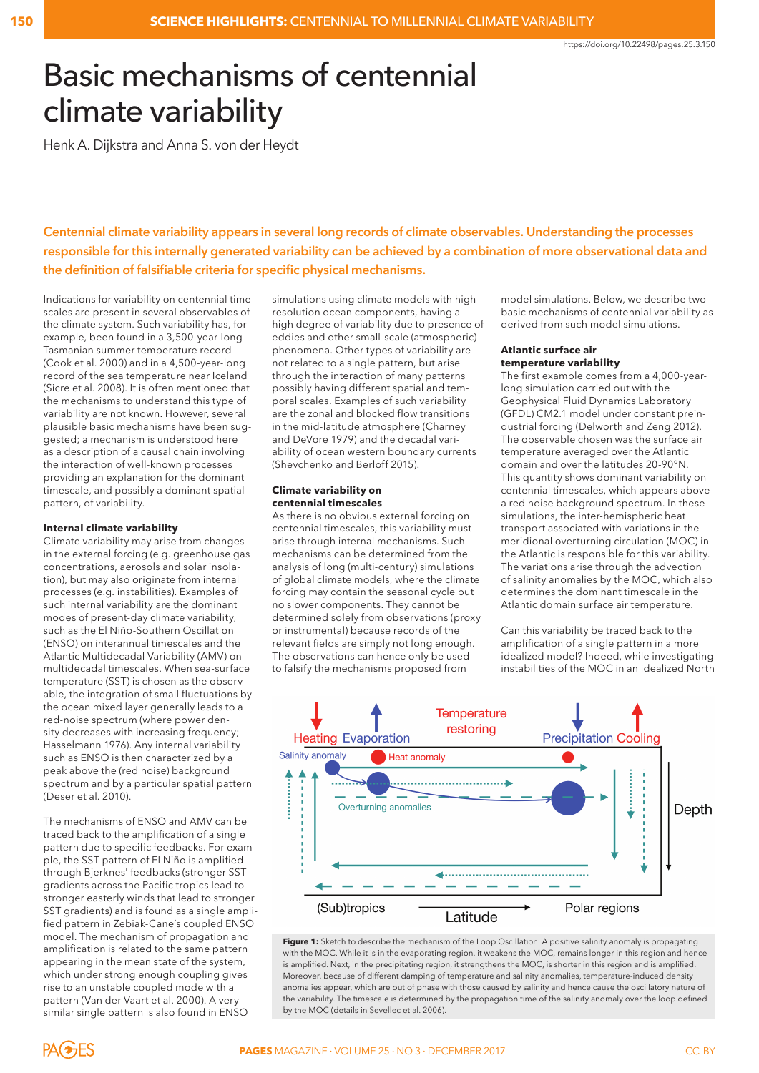# Basic mechanisms of centennial climate variability

Henk A. Dijkstra and Anna S. von der Heydt

**Centennial climate variability appears in several long records of climate observables. Understanding the processes responsible for this internally generated variability can be achieved by a combination of more observational data and the definition of falsifiable criteria for specific physical mechanisms.**

Indications for variability on centennial timescales are present in several observables of the climate system. Such variability has, for example, been found in a 3,500-year-long Tasmanian summer temperature record (Cook et al. 2000) and in a 4,500-year-long record of the sea temperature near Iceland (Sicre et al. 2008). It is often mentioned that the mechanisms to understand this type of variability are not known. However, several plausible basic mechanisms have been suggested; a mechanism is understood here as a description of a causal chain involving the interaction of well-known processes providing an explanation for the dominant timescale, and possibly a dominant spatial pattern, of variability.

#### **Internal climate variability**

Climate variability may arise from changes in the external forcing (e.g. greenhouse gas concentrations, aerosols and solar insolation), but may also originate from internal processes (e.g. instabilities). Examples of such internal variability are the dominant modes of present-day climate variability, such as the El Niño-Southern Oscillation (ENSO) on interannual timescales and the Atlantic Multidecadal Variability (AMV) on multidecadal timescales. When sea-surface temperature (SST) is chosen as the observable, the integration of small fluctuations by the ocean mixed layer generally leads to a red-noise spectrum (where power density decreases with increasing frequency; Hasselmann 1976). Any internal variability such as ENSO is then characterized by a peak above the (red noise) background spectrum and by a particular spatial pattern (Deser et al. 2010).

The mechanisms of ENSO and AMV can be traced back to the amplification of a single pattern due to specific feedbacks. For example, the SST pattern of El Niño is amplified through Bjerknes' feedbacks (stronger SST gradients across the Pacific tropics lead to stronger easterly winds that lead to stronger SST gradients) and is found as a single amplified pattern in Zebiak-Cane's coupled ENSO model. The mechanism of propagation and amplification is related to the same pattern appearing in the mean state of the system, which under strong enough coupling gives rise to an unstable coupled mode with a pattern (Van der Vaart et al. 2000). A very similar single pattern is also found in ENSO

simulations using climate models with highresolution ocean components, having a high degree of variability due to presence of eddies and other small-scale (atmospheric) phenomena. Other types of variability are not related to a single pattern, but arise through the interaction of many patterns possibly having different spatial and temporal scales. Examples of such variability are the zonal and blocked flow transitions in the mid-latitude atmosphere (Charney and DeVore 1979) and the decadal variability of ocean western boundary currents (Shevchenko and Berloff 2015).

#### **Climate variability on centennial timescales**

As there is no obvious external forcing on centennial timescales, this variability must arise through internal mechanisms. Such mechanisms can be determined from the analysis of long (multi-century) simulations of global climate models, where the climate forcing may contain the seasonal cycle but no slower components. They cannot be determined solely from observations (proxy or instrumental) because records of the relevant fields are simply not long enough. The observations can hence only be used to falsify the mechanisms proposed from

model simulations. Below, we describe two basic mechanisms of centennial variability as derived from such model simulations.

#### **Atlantic surface air temperature variability**

The first example comes from a 4,000-yearlong simulation carried out with the Geophysical Fluid Dynamics Laboratory (GFDL) CM2.1 model under constant preindustrial forcing (Delworth and Zeng 2012). The observable chosen was the surface air temperature averaged over the Atlantic domain and over the latitudes 20-90°N. This quantity shows dominant variability on centennial timescales, which appears above a red noise background spectrum. In these simulations, the inter-hemispheric heat transport associated with variations in the meridional overturning circulation (MOC) in the Atlantic is responsible for this variability. The variations arise through the advection of salinity anomalies by the MOC, which also determines the dominant timescale in the Atlantic domain surface air temperature.

Can this variability be traced back to the amplification of a single pattern in a more idealized model? Indeed, while investigating instabilities of the MOC in an idealized North



Figure 1: Sketch to describe the mechanism of the Loop Oscillation. A positive salinity anomaly is propagating with the MOC. While it is in the evaporating region, it weakens the MOC, remains longer in this region and hence is amplified. Next, in the precipitating region, it strengthens the MOC, is shorter in this region and is amplified. Moreover, because of different damping of temperature and salinity anomalies, temperature-induced density anomalies appear, which are out of phase with those caused by salinity and hence cause the oscillatory nature of the variability. The timescale is determined by the propagation time of the salinity anomaly over the loop defined by the MOC (details in Sevellec et al. 2006).